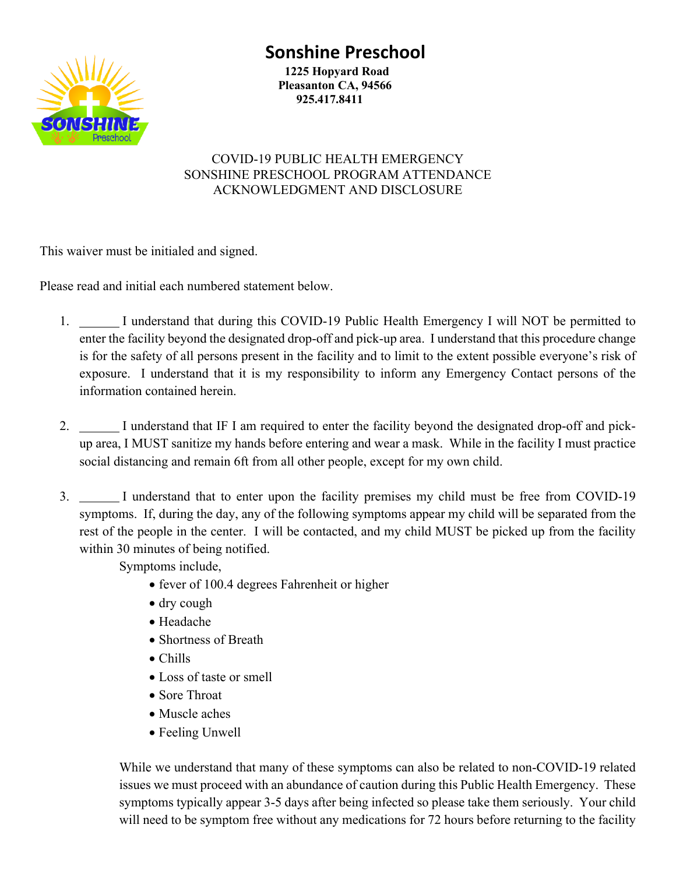## **Sonshine Preschool**



 **1225 Hopyard Road Pleasanton CA, 94566 925.417.8411**

## COVID-19 PUBLIC HEALTH EMERGENCY SONSHINE PRESCHOOL PROGRAM ATTENDANCE ACKNOWLEDGMENT AND DISCLOSURE

This waiver must be initialed and signed.

Please read and initial each numbered statement below.

- 1. I understand that during this COVID-19 Public Health Emergency I will NOT be permitted to enter the facility beyond the designated drop-off and pick-up area. I understand that this procedure change is for the safety of all persons present in the facility and to limit to the extent possible everyone's risk of exposure. I understand that it is my responsibility to inform any Emergency Contact persons of the information contained herein.
- 2. I understand that IF I am required to enter the facility beyond the designated drop-off and pickup area, I MUST sanitize my hands before entering and wear a mask. While in the facility I must practice social distancing and remain 6ft from all other people, except for my own child.
- 3. I understand that to enter upon the facility premises my child must be free from COVID-19 symptoms. If, during the day, any of the following symptoms appear my child will be separated from the rest of the people in the center. I will be contacted, and my child MUST be picked up from the facility within 30 minutes of being notified.

Symptoms include,

- fever of 100.4 degrees Fahrenheit or higher
- dry cough
- Headache
- Shortness of Breath
- Chills
- Loss of taste or smell
- Sore Throat
- Muscle aches
- Feeling Unwell

While we understand that many of these symptoms can also be related to non-COVID-19 related issues we must proceed with an abundance of caution during this Public Health Emergency. These symptoms typically appear 3-5 days after being infected so please take them seriously. Your child will need to be symptom free without any medications for 72 hours before returning to the facility